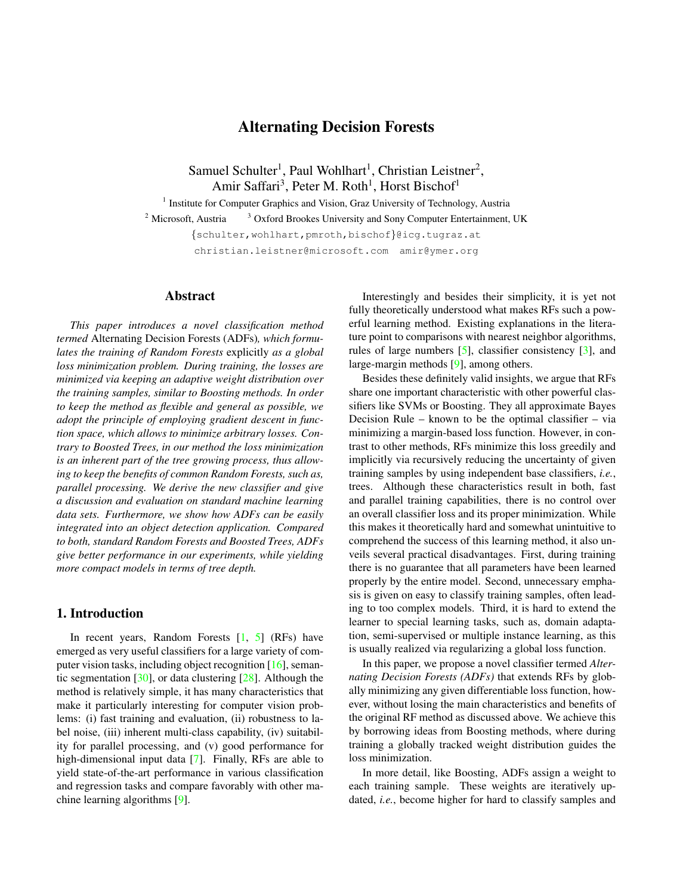# Alternating Decision Forests

Samuel Schulter<sup>1</sup>, Paul Wohlhart<sup>1</sup>, Christian Leistner<sup>2</sup>, Amir Saffari<sup>3</sup>, Peter M. Roth<sup>1</sup>, Horst Bischof<sup>1</sup>

<span id="page-0-0"></span><sup>1</sup> Institute for Computer Graphics and Vision, Graz University of Technology, Austria <sup>2</sup> Microsoft, Austria  $3^3$  Oxford Brookes University and Sony Computer Entertainment, UK

> {schulter,wohlhart,pmroth,bischof}@icg.tugraz.at christian.leistner@microsoft.com amir@ymer.org

## Abstract

*This paper introduces a novel classification method termed* Alternating Decision Forests (ADFs)*, which formulates the training of Random Forests* explicitly *as a global loss minimization problem. During training, the losses are minimized via keeping an adaptive weight distribution over the training samples, similar to Boosting methods. In order to keep the method as flexible and general as possible, we adopt the principle of employing gradient descent in function space, which allows to minimize arbitrary losses. Contrary to Boosted Trees, in our method the loss minimization is an inherent part of the tree growing process, thus allowing to keep the benefits of common Random Forests, such as, parallel processing. We derive the new classifier and give a discussion and evaluation on standard machine learning data sets. Furthermore, we show how ADFs can be easily integrated into an object detection application. Compared to both, standard Random Forests and Boosted Trees, ADFs give better performance in our experiments, while yielding more compact models in terms of tree depth.*

## 1. Introduction

In recent years, Random Forests  $[1, 5]$  $[1, 5]$  $[1, 5]$  (RFs) have emerged as very useful classifiers for a large variety of computer vision tasks, including object recognition [\[16\]](#page-7-2), semantic segmentation  $[30]$ , or data clustering  $[28]$ . Although the method is relatively simple, it has many characteristics that make it particularly interesting for computer vision problems: (i) fast training and evaluation, (ii) robustness to label noise, (iii) inherent multi-class capability, (iv) suitability for parallel processing, and (v) good performance for high-dimensional input data [\[7\]](#page-7-5). Finally, RFs are able to yield state-of-the-art performance in various classification and regression tasks and compare favorably with other machine learning algorithms [\[9\]](#page-7-6).

Interestingly and besides their simplicity, it is yet not fully theoretically understood what makes RFs such a powerful learning method. Existing explanations in the literature point to comparisons with nearest neighbor algorithms, rules of large numbers [\[5\]](#page-7-1), classifier consistency [\[3\]](#page-7-7), and large-margin methods [\[9\]](#page-7-6), among others.

Besides these definitely valid insights, we argue that RFs share one important characteristic with other powerful classifiers like SVMs or Boosting. They all approximate Bayes Decision Rule – known to be the optimal classifier – via minimizing a margin-based loss function. However, in contrast to other methods, RFs minimize this loss greedily and implicitly via recursively reducing the uncertainty of given training samples by using independent base classifiers, *i.e.*, trees. Although these characteristics result in both, fast and parallel training capabilities, there is no control over an overall classifier loss and its proper minimization. While this makes it theoretically hard and somewhat unintuitive to comprehend the success of this learning method, it also unveils several practical disadvantages. First, during training there is no guarantee that all parameters have been learned properly by the entire model. Second, unnecessary emphasis is given on easy to classify training samples, often leading to too complex models. Third, it is hard to extend the learner to special learning tasks, such as, domain adaptation, semi-supervised or multiple instance learning, as this is usually realized via regularizing a global loss function.

In this paper, we propose a novel classifier termed *Alternating Decision Forests (ADFs)* that extends RFs by globally minimizing any given differentiable loss function, however, without losing the main characteristics and benefits of the original RF method as discussed above. We achieve this by borrowing ideas from Boosting methods, where during training a globally tracked weight distribution guides the loss minimization.

In more detail, like Boosting, ADFs assign a weight to each training sample. These weights are iteratively updated, *i.e.*, become higher for hard to classify samples and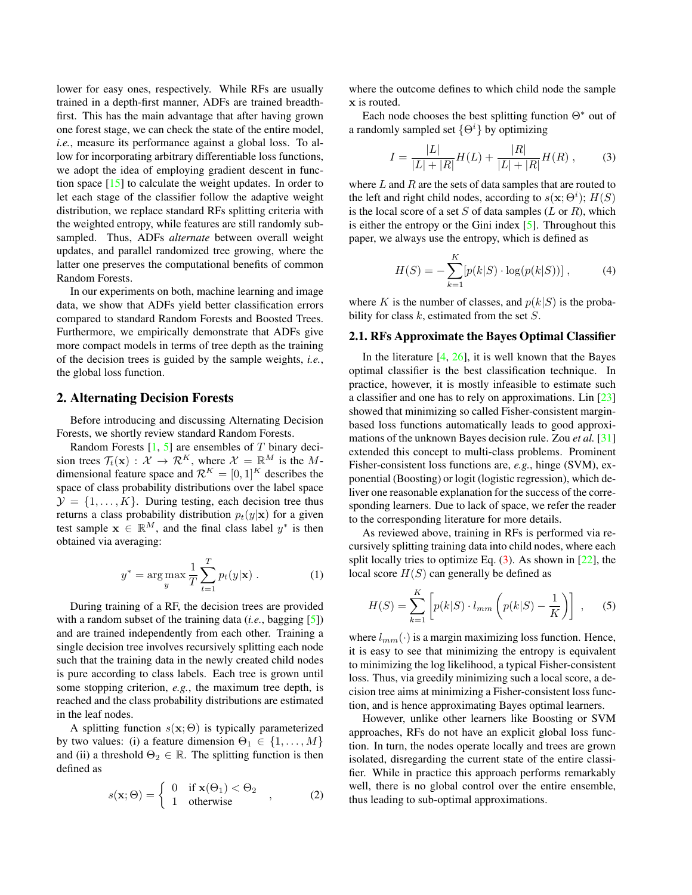<span id="page-1-3"></span>lower for easy ones, respectively. While RFs are usually trained in a depth-first manner, ADFs are trained breadthfirst. This has the main advantage that after having grown one forest stage, we can check the state of the entire model, *i.e.*, measure its performance against a global loss. To allow for incorporating arbitrary differentiable loss functions, we adopt the idea of employing gradient descent in function space [\[15\]](#page-7-8) to calculate the weight updates. In order to let each stage of the classifier follow the adaptive weight distribution, we replace standard RFs splitting criteria with the weighted entropy, while features are still randomly subsampled. Thus, ADFs *alternate* between overall weight updates, and parallel randomized tree growing, where the latter one preserves the computational benefits of common Random Forests.

In our experiments on both, machine learning and image data, we show that ADFs yield better classification errors compared to standard Random Forests and Boosted Trees. Furthermore, we empirically demonstrate that ADFs give more compact models in terms of tree depth as the training of the decision trees is guided by the sample weights, *i.e.*, the global loss function.

# <span id="page-1-2"></span>2. Alternating Decision Forests

Before introducing and discussing Alternating Decision Forests, we shortly review standard Random Forests.

Random Forests  $[1, 5]$  $[1, 5]$  $[1, 5]$  are ensembles of T binary decision trees  $\mathcal{T}_t(\mathbf{x}) : \mathcal{X} \to \mathcal{R}^K$ , where  $\mathcal{X} = \mathbb{R}^M$  is the Mdimensional feature space and  $\mathcal{R}^K = [0, 1]^K$  describes the space of class probability distributions over the label space  $\mathcal{Y} = \{1, \ldots, K\}$ . During testing, each decision tree thus returns a class probability distribution  $p_t(y|\mathbf{x})$  for a given test sample  $\mathbf{x} \in \mathbb{R}^M$ , and the final class label  $y^*$  is then obtained via averaging:

$$
y^* = \arg\max_{y} \frac{1}{T} \sum_{t=1}^T p_t(y|\mathbf{x}). \tag{1}
$$

During training of a RF, the decision trees are provided with a random subset of the training data (*i.e.*, bagging [\[5\]](#page-7-1)) and are trained independently from each other. Training a single decision tree involves recursively splitting each node such that the training data in the newly created child nodes is pure according to class labels. Each tree is grown until some stopping criterion, *e.g.*, the maximum tree depth, is reached and the class probability distributions are estimated in the leaf nodes.

A splitting function  $s(\mathbf{x}; \Theta)$  is typically parameterized by two values: (i) a feature dimension  $\Theta_1 \in \{1, \ldots, M\}$ and (ii) a threshold  $\Theta_2 \in \mathbb{R}$ . The splitting function is then defined as

$$
s(\mathbf{x}; \Theta) = \begin{cases} 0 & \text{if } \mathbf{x}(\Theta_1) < \Theta_2 \\ 1 & \text{otherwise} \end{cases} , \tag{2}
$$

where the outcome defines to which child node the sample x is routed.

Each node chooses the best splitting function  $\Theta^*$  out of a randomly sampled set  $\{\Theta^i\}$  by optimizing

<span id="page-1-0"></span>
$$
I = \frac{|L|}{|L| + |R|} H(L) + \frac{|R|}{|L| + |R|} H(R) ,\qquad (3)
$$

where  $L$  and  $R$  are the sets of data samples that are routed to the left and right child nodes, according to  $s(\mathbf{x}; \Theta^i)$ ;  $H(S)$ is the local score of a set S of data samples  $(L \text{ or } R)$ , which is either the entropy or the Gini index [\[5\]](#page-7-1). Throughout this paper, we always use the entropy, which is defined as

<span id="page-1-1"></span>
$$
H(S) = -\sum_{k=1}^{K} [p(k|S) \cdot \log(p(k|S))],
$$
 (4)

where K is the number of classes, and  $p(k|S)$  is the probability for class  $k$ , estimated from the set  $S$ .

#### 2.1. RFs Approximate the Bayes Optimal Classifier

In the literature  $[4, 26]$  $[4, 26]$  $[4, 26]$ , it is well known that the Bayes optimal classifier is the best classification technique. In practice, however, it is mostly infeasible to estimate such a classifier and one has to rely on approximations. Lin [\[23\]](#page-7-11) showed that minimizing so called Fisher-consistent marginbased loss functions automatically leads to good approximations of the unknown Bayes decision rule. Zou *et al.* [\[31\]](#page-7-12) extended this concept to multi-class problems. Prominent Fisher-consistent loss functions are, *e.g.*, hinge (SVM), exponential (Boosting) or logit (logistic regression), which deliver one reasonable explanation for the success of the corresponding learners. Due to lack of space, we refer the reader to the corresponding literature for more details.

As reviewed above, training in RFs is performed via recursively splitting training data into child nodes, where each split locally tries to optimize Eq.  $(3)$ . As shown in  $[22]$ , the local score  $H(S)$  can generally be defined as

$$
H(S) = \sum_{k=1}^{K} \left[ p(k|S) \cdot l_{mm} \left( p(k|S) - \frac{1}{K} \right) \right],
$$
 (5)

where  $l_{mm}(\cdot)$  is a margin maximizing loss function. Hence, it is easy to see that minimizing the entropy is equivalent to minimizing the log likelihood, a typical Fisher-consistent loss. Thus, via greedily minimizing such a local score, a decision tree aims at minimizing a Fisher-consistent loss function, and is hence approximating Bayes optimal learners.

However, unlike other learners like Boosting or SVM approaches, RFs do not have an explicit global loss function. In turn, the nodes operate locally and trees are grown isolated, disregarding the current state of the entire classifier. While in practice this approach performs remarkably well, there is no global control over the entire ensemble, thus leading to sub-optimal approximations.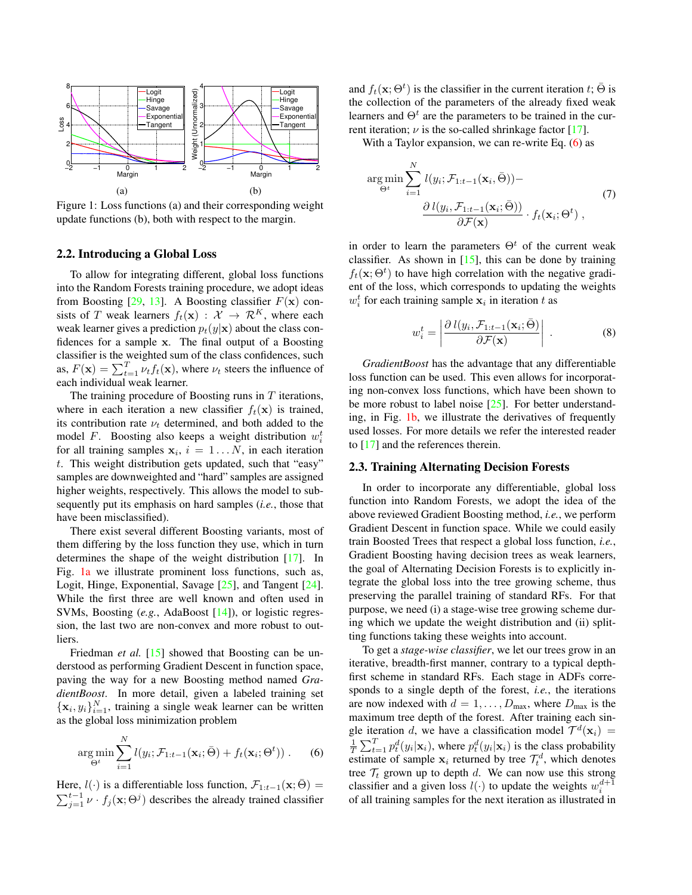<span id="page-2-3"></span><span id="page-2-0"></span>

Figure 1: Loss functions (a) and their corresponding weight update functions (b), both with respect to the margin.

#### 2.2. Introducing a Global Loss

To allow for integrating different, global loss functions into the Random Forests training procedure, we adopt ideas from Boosting  $[29, 13]$  $[29, 13]$  $[29, 13]$ . A Boosting classifier  $F(\mathbf{x})$  consists of T weak learners  $f_t(\mathbf{x}) : \mathcal{X} \to \mathcal{R}^K$ , where each weak learner gives a prediction  $p_t(y|\mathbf{x})$  about the class confidences for a sample x. The final output of a Boosting classifier is the weighted sum of the class confidences, such as,  $F(\mathbf{x}) = \sum_{t=1}^{T} \nu_t f_t(\mathbf{x})$ , where  $\nu_t$  steers the influence of each individual weak learner.

The training procedure of Boosting runs in  $T$  iterations, where in each iteration a new classifier  $f_t(\mathbf{x})$  is trained, its contribution rate  $\nu_t$  determined, and both added to the model F. Boosting also keeps a weight distribution  $w_i^t$ for all training samples  $x_i$ ,  $i = 1...N$ , in each iteration t. This weight distribution gets updated, such that "easy" samples are downweighted and "hard" samples are assigned higher weights, respectively. This allows the model to subsequently put its emphasis on hard samples (*i.e.*, those that have been misclassified).

There exist several different Boosting variants, most of them differing by the loss function they use, which in turn determines the shape of the weight distribution [\[17\]](#page-7-16). In Fig. [1a](#page-2-0) we illustrate prominent loss functions, such as, Logit, Hinge, Exponential, Savage [\[25\]](#page-7-17), and Tangent [\[24\]](#page-7-18). While the first three are well known and often used in SVMs, Boosting (*e.g.*, AdaBoost [\[14\]](#page-7-19)), or logistic regression, the last two are non-convex and more robust to outliers.

Friedman *et al.* [\[15\]](#page-7-8) showed that Boosting can be understood as performing Gradient Descent in function space, paving the way for a new Boosting method named *GradientBoost*. In more detail, given a labeled training set  ${x_i, y_i}_{i=1}^N$ , training a single weak learner can be written as the global loss minimization problem

<span id="page-2-1"></span>
$$
\underset{\Theta^t}{\arg\min} \sum_{i=1}^N l(y_i; \mathcal{F}_{1:t-1}(\mathbf{x}_i; \bar{\Theta}) + f_t(\mathbf{x}_i; \Theta^t)) \ . \tag{6}
$$

Here,  $l(\cdot)$  is a differentiable loss function,  $\mathcal{F}_{1:t-1}(\mathbf{x}; \bar{\Theta}) =$  $\sum_{j=1}^{t-1} \nu \cdot f_j(\mathbf{x}; \Theta^j)$  describes the already trained classifier

and  $f_t(\mathbf{x}; \Theta^t)$  is the classifier in the current iteration  $t; \bar{\Theta}$  is the collection of the parameters of the already fixed weak learners and  $\Theta^t$  are the parameters to be trained in the current iteration;  $\nu$  is the so-called shrinkage factor [\[17\]](#page-7-16).

With a Taylor expansion, we can re-write Eq. [\(6\)](#page-2-1) as

$$
\arg\min_{\Theta^t} \sum_{i=1}^N l(y_i; \mathcal{F}_{1:t-1}(\mathbf{x}_i, \bar{\Theta})) - \frac{\partial l(y_i, \mathcal{F}_{1:t-1}(\mathbf{x}_i; \bar{\Theta}))}{\partial \mathcal{F}(\mathbf{x})} \cdot f_t(\mathbf{x}_i; \Theta^t) ,
$$
\n(7)

in order to learn the parameters  $\Theta^t$  of the current weak classifier. As shown in  $[15]$ , this can be done by training  $f_t(\mathbf{x}; \Theta^t)$  to have high correlation with the negative gradient of the loss, which corresponds to updating the weights  $w_i^t$  for each training sample  $\mathbf{x}_i$  in iteration t as

<span id="page-2-2"></span>
$$
w_i^t = \left| \frac{\partial l(y_i, \mathcal{F}_{1:t-1}(\mathbf{x}_i; \bar{\Theta})}{\partial \mathcal{F}(\mathbf{x})} \right| . \tag{8}
$$

*GradientBoost* has the advantage that any differentiable loss function can be used. This even allows for incorporating non-convex loss functions, which have been shown to be more robust to label noise [\[25\]](#page-7-17). For better understanding, in Fig. [1b,](#page-2-0) we illustrate the derivatives of frequently used losses. For more details we refer the interested reader to [\[17\]](#page-7-16) and the references therein.

#### 2.3. Training Alternating Decision Forests

In order to incorporate any differentiable, global loss function into Random Forests, we adopt the idea of the above reviewed Gradient Boosting method, *i.e.*, we perform Gradient Descent in function space. While we could easily train Boosted Trees that respect a global loss function, *i.e.*, Gradient Boosting having decision trees as weak learners, the goal of Alternating Decision Forests is to explicitly integrate the global loss into the tree growing scheme, thus preserving the parallel training of standard RFs. For that purpose, we need (i) a stage-wise tree growing scheme during which we update the weight distribution and (ii) splitting functions taking these weights into account.

To get a *stage-wise classifier*, we let our trees grow in an iterative, breadth-first manner, contrary to a typical depthfirst scheme in standard RFs. Each stage in ADFs corresponds to a single depth of the forest, *i.e.*, the iterations are now indexed with  $d = 1, \ldots, D_{\text{max}}$ , where  $D_{\text{max}}$  is the maximum tree depth of the forest. After training each single iteration d, we have a classification model  $\mathcal{T}^d(\mathbf{x}_i) =$  $\frac{1}{T} \sum_{t=1}^{T} p_t^d(y_i|\mathbf{x}_i)$ , where  $p_t^d(y_i|\mathbf{x}_i)$  is the class probability estimate of sample  $x_i$  returned by tree  $\mathcal{T}_t^d$ , which denotes tree  $\mathcal{T}_t$  grown up to depth d. We can now use this strong classifier and a given loss  $l(\cdot)$  to update the weights  $w_i^{d+1}$ of all training samples for the next iteration as illustrated in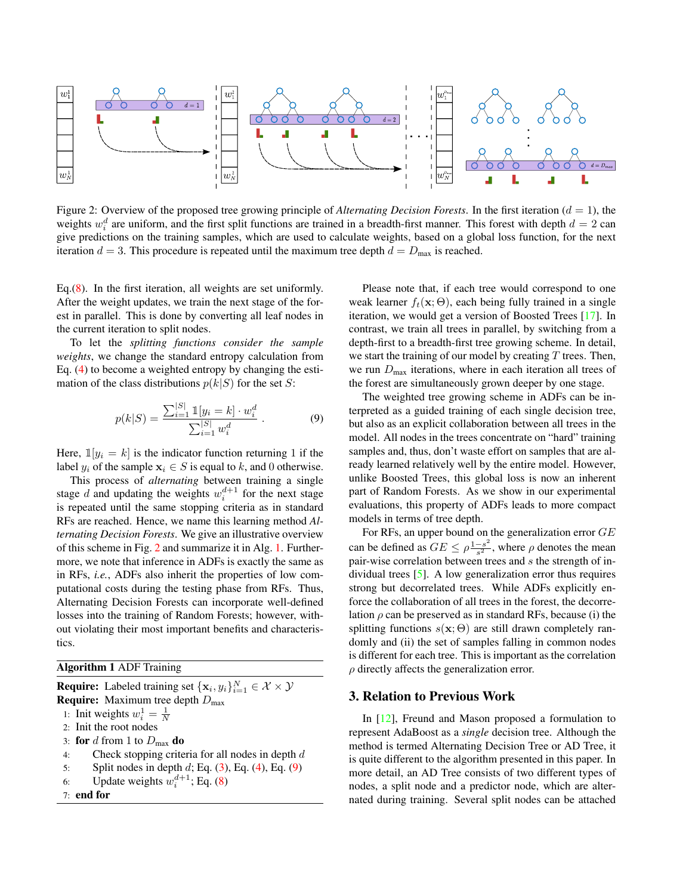<span id="page-3-4"></span><span id="page-3-0"></span>

Figure 2: Overview of the proposed tree growing principle of *Alternating Decision Forests*. In the first iteration  $(d = 1)$ , the weights  $w_i^d$  are uniform, and the first split functions are trained in a breadth-first manner. This forest with depth  $d = 2$  can give predictions on the training samples, which are used to calculate weights, based on a global loss function, for the next iteration  $d = 3$ . This procedure is repeated until the maximum tree depth  $d = D_{\text{max}}$  is reached.

Eq.[\(8\)](#page-2-2). In the first iteration, all weights are set uniformly. After the weight updates, we train the next stage of the forest in parallel. This is done by converting all leaf nodes in the current iteration to split nodes.

To let the *splitting functions consider the sample weights*, we change the standard entropy calculation from Eq. [\(4\)](#page-1-1) to become a weighted entropy by changing the estimation of the class distributions  $p(k|S)$  for the set S:

<span id="page-3-2"></span>
$$
p(k|S) = \frac{\sum_{i=1}^{|S|} \mathbb{1}[y_i = k] \cdot w_i^d}{\sum_{i=1}^{|S|} w_i^d} \,. \tag{9}
$$

Here,  $\mathbb{I}[y_i = k]$  is the indicator function returning 1 if the label  $y_i$  of the sample  $x_i \in S$  is equal to k, and 0 otherwise.

This process of *alternating* between training a single stage d and updating the weights  $w_i^{d+1}$  for the next stage is repeated until the same stopping criteria as in standard RFs are reached. Hence, we name this learning method *Alternating Decision Forests*. We give an illustrative overview of this scheme in Fig. [2](#page-3-0) and summarize it in Alg. [1.](#page-3-1) Furthermore, we note that inference in ADFs is exactly the same as in RFs, *i.e.*, ADFs also inherit the properties of low computational costs during the testing phase from RFs. Thus, Alternating Decision Forests can incorporate well-defined losses into the training of Random Forests; however, without violating their most important benefits and characteristics.

<span id="page-3-1"></span>Algorithm 1 ADF Training

**Require:** Labeled training set  $\{\mathbf x_i, y_i\}_{i=1}^N \in \mathcal X \times \mathcal Y$ **Require:** Maximum tree depth  $D_{\text{max}}$ 

1: Init weights  $w_i^1 = \frac{1}{N}$ 

- 2: Init the root nodes
- 3: for d from 1 to  $D_{\text{max}}$  do
- 4: Check stopping criteria for all nodes in depth d
- 5: Split nodes in depth  $d$ ; Eq.  $(3)$ , Eq.  $(4)$ , Eq.  $(9)$
- 6: Update weights  $w_i^{d+1}$ ; Eq. [\(8\)](#page-2-2)

7: end for

Please note that, if each tree would correspond to one weak learner  $f_t(\mathbf{x}; \Theta)$ , each being fully trained in a single iteration, we would get a version of Boosted Trees [\[17\]](#page-7-16). In contrast, we train all trees in parallel, by switching from a depth-first to a breadth-first tree growing scheme. In detail, we start the training of our model by creating  $T$  trees. Then, we run  $D_{\text{max}}$  iterations, where in each iteration all trees of the forest are simultaneously grown deeper by one stage.

The weighted tree growing scheme in ADFs can be interpreted as a guided training of each single decision tree, but also as an explicit collaboration between all trees in the model. All nodes in the trees concentrate on "hard" training samples and, thus, don't waste effort on samples that are already learned relatively well by the entire model. However, unlike Boosted Trees, this global loss is now an inherent part of Random Forests. As we show in our experimental evaluations, this property of ADFs leads to more compact models in terms of tree depth.

For RFs, an upper bound on the generalization error GE can be defined as  $GE \leq \rho \frac{1-s^2}{s^2}$  $\frac{-s^2}{s^2}$ , where  $\rho$  denotes the mean pair-wise correlation between trees and s the strength of individual trees [\[5\]](#page-7-1). A low generalization error thus requires strong but decorrelated trees. While ADFs explicitly enforce the collaboration of all trees in the forest, the decorrelation  $\rho$  can be preserved as in standard RFs, because (i) the splitting functions  $s(\mathbf{x}; \Theta)$  are still drawn completely randomly and (ii) the set of samples falling in common nodes is different for each tree. This is important as the correlation  $\rho$  directly affects the generalization error.

# <span id="page-3-3"></span>3. Relation to Previous Work

In [\[12\]](#page-7-20), Freund and Mason proposed a formulation to represent AdaBoost as a *single* decision tree. Although the method is termed Alternating Decision Tree or AD Tree, it is quite different to the algorithm presented in this paper. In more detail, an AD Tree consists of two different types of nodes, a split node and a predictor node, which are alternated during training. Several split nodes can be attached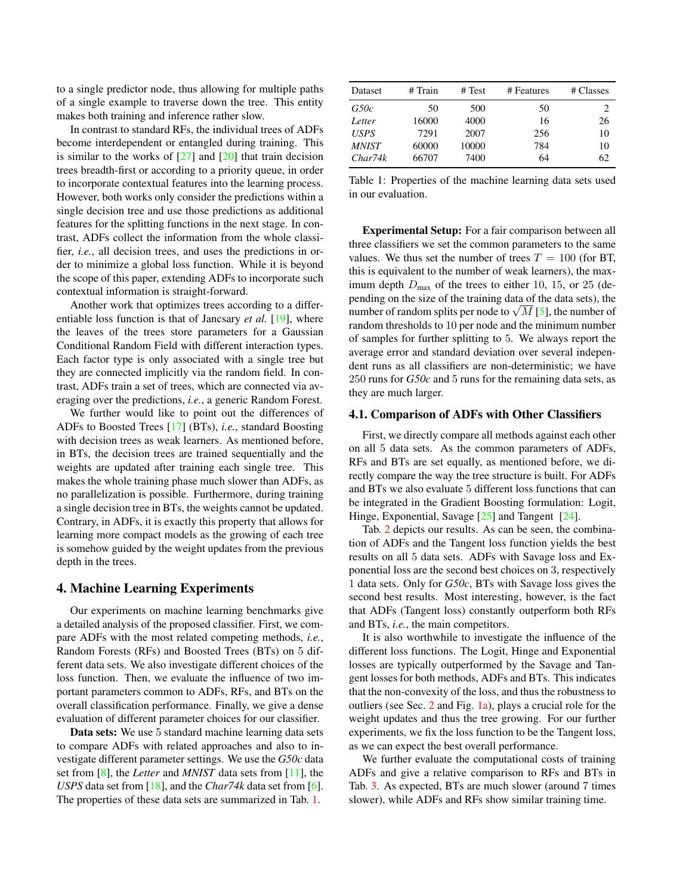<span id="page-4-1"></span>to a single predictor node, thus allowing for multiple paths of a single example to traverse down the tree. This entity makes both training and inference rather slow.

In contrast to standard RFs, the individual trees of ADFs become interdependent or entangled during training. This is similar to the works of  $[27]$  and  $[20]$  that train decision trees breadth-first or according to a priority queue, in order to incorporate contextual features into the learning process. However, both works only consider the predictions within a single decision tree and use those predictions as additional features for the splitting functions in the next stage. In contrast, ADFs collect the information from the whole classifier, *i.e.*, all decision trees, and uses the predictions in order to minimize a global loss function. While it is beyond the scope of this paper, extending ADFs to incorporate such contextual information is straight-forward.

Another work that optimizes trees according to a differentiable loss function is that of Jancsary *et al.* [\[19\]](#page-7-23), where the leaves of the trees store parameters for a Gaussian Conditional Random Field with different interaction types. Each factor type is only associated with a single tree but they are connected implicitly via the random field. In contrast, ADFs train a set of trees, which are connected via averaging over the predictions, *i.e.*, a generic Random Forest.

We further would like to point out the differences of ADFs to Boosted Trees [\[17\]](#page-7-16) (BTs), *i.e.*, standard Boosting with decision trees as weak learners. As mentioned before, in BTs, the decision trees are trained sequentially and the weights are updated after training each single tree. This makes the whole training phase much slower than ADFs, as no parallelization is possible. Furthermore, during training a single decision tree in BTs, the weights cannot be updated. Contrary, in ADFs, it is exactly this property that allows for learning more compact models as the growing of each tree is somehow guided by the weight updates from the previous depth in the trees.

## 4. Machine Learning Experiments

Our experiments on machine learning benchmarks give a detailed analysis of the proposed classifier. First, we compare ADFs with the most related competing methods, *i.e.*, Random Forests (RFs) and Boosted Trees (BTs) on 5 different data sets. We also investigate different choices of the loss function. Then, we evaluate the influence of two important parameters common to ADFs, RFs, and BTs on the overall classification performance. Finally, we give a dense evaluation of different parameter choices for our classifier.

Data sets: We use 5 standard machine learning data sets to compare ADFs with related approaches and also to investigate different parameter settings. We use the *G50c* data set from [\[8\]](#page-7-24), the *Letter* and *MNIST* data sets from [\[11\]](#page-7-25), the *USPS* data set from [\[18\]](#page-7-26), and the *Char74k* data set from [\[6\]](#page-7-27). The properties of these data sets are summarized in Tab. [1.](#page-4-0)

<span id="page-4-0"></span>

| Dataset      | # Train | # Test | # Features | # Classes                   |
|--------------|---------|--------|------------|-----------------------------|
| G50c         | 50      | 500    | 50         | $\mathcal{D}_{\mathcal{L}}$ |
| Letter       | 16000   | 4000   | 16         | 26                          |
| <b>USPS</b>  | 7291    | 2007   | 256        | 10                          |
| <b>MNIST</b> | 60000   | 10000  | 784        | 10                          |
| Char74k      | 66707   | 7400   | 64         | 62.                         |

Table 1: Properties of the machine learning data sets used in our evaluation.

Experimental Setup: For a fair comparison between all three classifiers we set the common parameters to the same values. We thus set the number of trees  $T = 100$  (for BT, this is equivalent to the number of weak learners), the maximum depth  $D_{\text{max}}$  of the trees to either 10, 15, or 25 (depending on the size of the training data of the data sets), the pending on the size of the training data of the data sets), the number of random splits per node to  $\sqrt{M}$  [\[5\]](#page-7-1), the number of random thresholds to 10 per node and the minimum number of samples for further splitting to 5. We always report the average error and standard deviation over several independent runs as all classifiers are non-deterministic; we have 250 runs for *G50c* and 5 runs for the remaining data sets, as they are much larger.

## 4.1. Comparison of ADFs with Other Classifiers

First, we directly compare all methods against each other on all 5 data sets. As the common parameters of ADFs, RFs and BTs are set equally, as mentioned before, we directly compare the way the tree structure is built. For ADFs and BTs we also evaluate 5 different loss functions that can be integrated in the Gradient Boosting formulation: Logit, Hinge, Exponential, Savage [\[25\]](#page-7-17) and Tangent [\[24\]](#page-7-18).

Tab. [2](#page-5-0) depicts our results. As can be seen, the combination of ADFs and the Tangent loss function yields the best results on all 5 data sets. ADFs with Savage loss and Exponential loss are the second best choices on 3, respectively 1 data sets. Only for *G50c*, BTs with Savage loss gives the second best results. Most interesting, however, is the fact that ADFs (Tangent loss) constantly outperform both RFs and BTs, *i.e.*, the main competitors.

It is also worthwhile to investigate the influence of the different loss functions. The Logit, Hinge and Exponential losses are typically outperformed by the Savage and Tangent losses for both methods, ADFs and BTs. This indicates that the non-convexity of the loss, and thus the robustness to outliers (see Sec. [2](#page-1-2) and Fig. [1a\)](#page-2-0), plays a crucial role for the weight updates and thus the tree growing. For our further experiments, we fix the loss function to be the Tangent loss, as we can expect the best overall performance.

We further evaluate the computational costs of training ADFs and give a relative comparison to RFs and BTs in Tab. [3.](#page-5-1) As expected, BTs are much slower (around 7 times slower), while ADFs and RFs show similar training time.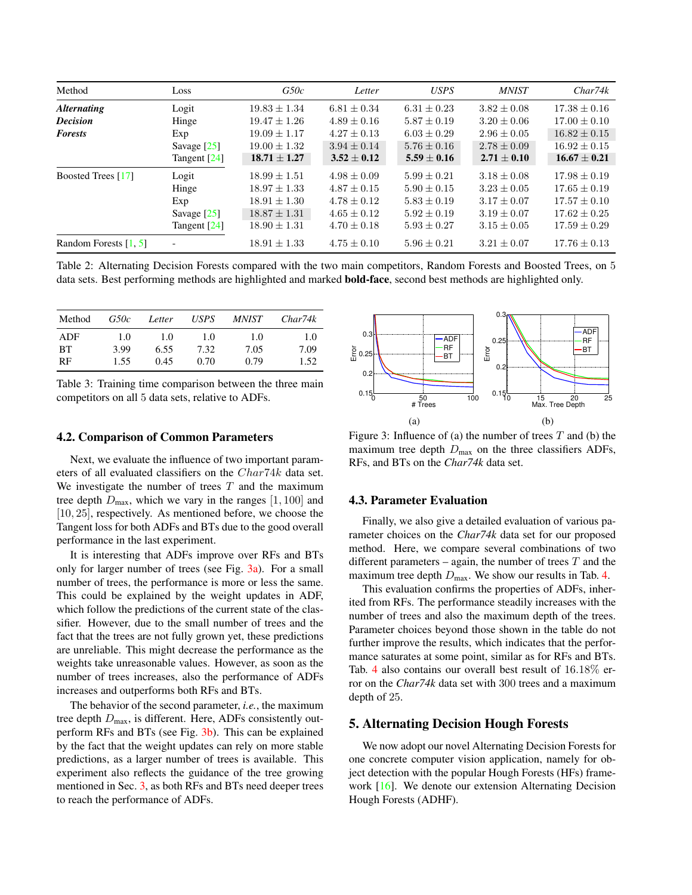<span id="page-5-3"></span><span id="page-5-0"></span>

| Method                    | Loss                      | G50c             | Letter          | <b>USPS</b>     | <b>MNIST</b>    | Char74k          |
|---------------------------|---------------------------|------------------|-----------------|-----------------|-----------------|------------------|
| <b>Alternating</b>        | Logit                     | $19.83 \pm 1.34$ | $6.81 \pm 0.34$ | $6.31 \pm 0.23$ | $3.82 \pm 0.08$ | $17.38 \pm 0.16$ |
| <b>Decision</b>           | Hinge                     | $19.47 \pm 1.26$ | $4.89 \pm 0.16$ | $5.87 \pm 0.19$ | $3.20 \pm 0.06$ | $17.00 \pm 0.10$ |
| <b>Forests</b>            | Exp                       | $19.09 + 1.17$   | $4.27 + 0.13$   | $6.03 + 0.29$   | $2.96 \pm 0.05$ | $16.82 + 0.15$   |
|                           | Savage $\lceil 25 \rceil$ | $19.00 + 1.32$   | $3.94 \pm 0.14$ | $5.76 \pm 0.16$ | $2.78 \pm 0.09$ | $16.92 \pm 0.15$ |
|                           | Tangent $[24]$            | $18.71 \pm 1.27$ | $3.52 \pm 0.12$ | $5.59 \pm 0.16$ | $2.71 \pm 0.10$ | $16.67 \pm 0.21$ |
| <b>Boosted Trees</b> [17] | Logit                     | $18.99 \pm 1.51$ | $4.98 + 0.09$   | $5.99 + 0.21$   | $3.18 + 0.08$   | $17.98 + 0.19$   |
|                           | Hinge                     | $18.97 \pm 1.33$ | $4.87 + 0.15$   | $5.90 + 0.15$   | $3.23 + 0.05$   | $17.65 + 0.19$   |
|                           | Exp                       | $18.91 \pm 1.30$ | $4.78 \pm 0.12$ | $5.83 + 0.19$   | $3.17 + 0.07$   | $17.57 \pm 0.10$ |
|                           | Savage $[25]$             | $18.87 \pm 1.31$ | $4.65 \pm 0.12$ | $5.92 \pm 0.19$ | $3.19 \pm 0.07$ | $17.62 \pm 0.25$ |
|                           | Tangent [24]              | $18.90 \pm 1.31$ | $4.70 \pm 0.18$ | $5.93 \pm 0.27$ | $3.15 + 0.05$   | $17.59 + 0.29$   |
| Random Forests [1, 5]     | $\overline{\phantom{0}}$  | $18.91 \pm 1.33$ | $4.75 \pm 0.10$ | $5.96 \pm 0.21$ | $3.21 \pm 0.07$ | $17.76 + 0.13$   |

Table 2: Alternating Decision Forests compared with the two main competitors, Random Forests and Boosted Trees, on 5 data sets. Best performing methods are highlighted and marked bold-face, second best methods are highlighted only.

<span id="page-5-1"></span>

| Method    | G50c | Letter | <b>USPS</b> | <b>MNIST</b> | Char <sup>74k</sup> |
|-----------|------|--------|-------------|--------------|---------------------|
| ADF       | 1.0  | 1.0    | 1.0         | 1.0          | 1.0                 |
| <b>BT</b> | 3.99 | 6.55   | 7.32        | 7.05         | 7.09                |
| RF        | 1.55 | 0.45   | 0.70        | 0.79         | 1.52                |

Table 3: Training time comparison between the three main competitors on all 5 data sets, relative to ADFs.

#### 4.2. Comparison of Common Parameters

Next, we evaluate the influence of two important parameters of all evaluated classifiers on the Char74k data set. We investigate the number of trees  $T$  and the maximum tree depth  $D_{\text{max}}$ , which we vary in the ranges [1, 100] and [10, 25], respectively. As mentioned before, we choose the Tangent loss for both ADFs and BTs due to the good overall performance in the last experiment.

It is interesting that ADFs improve over RFs and BTs only for larger number of trees (see Fig. [3a\)](#page-5-2). For a small number of trees, the performance is more or less the same. This could be explained by the weight updates in ADF, which follow the predictions of the current state of the classifier. However, due to the small number of trees and the fact that the trees are not fully grown yet, these predictions are unreliable. This might decrease the performance as the weights take unreasonable values. However, as soon as the number of trees increases, also the performance of ADFs increases and outperforms both RFs and BTs.

The behavior of the second parameter, *i.e.*, the maximum tree depth  $D_{\text{max}}$ , is different. Here, ADFs consistently outperform RFs and BTs (see Fig. [3b\)](#page-5-2). This can be explained by the fact that the weight updates can rely on more stable predictions, as a larger number of trees is available. This experiment also reflects the guidance of the tree growing mentioned in Sec. [3,](#page-3-3) as both RFs and BTs need deeper trees to reach the performance of ADFs.

<span id="page-5-2"></span>

Figure 3: Influence of (a) the number of trees  $T$  and (b) the maximum tree depth  $D_{\text{max}}$  on the three classifiers ADFs, RFs, and BTs on the *Char74k* data set.

#### 4.3. Parameter Evaluation

Finally, we also give a detailed evaluation of various parameter choices on the *Char74k* data set for our proposed method. Here, we compare several combinations of two different parameters – again, the number of trees  $T$  and the maximum tree depth  $D_{\text{max}}$ . We show our results in Tab. [4.](#page-6-0)

This evaluation confirms the properties of ADFs, inherited from RFs. The performance steadily increases with the number of trees and also the maximum depth of the trees. Parameter choices beyond those shown in the table do not further improve the results, which indicates that the performance saturates at some point, similar as for RFs and BTs. Tab. [4](#page-6-0) also contains our overall best result of 16.18% error on the *Char74k* data set with 300 trees and a maximum depth of 25.

# 5. Alternating Decision Hough Forests

We now adopt our novel Alternating Decision Forests for one concrete computer vision application, namely for object detection with the popular Hough Forests (HFs) framework [\[16\]](#page-7-2). We denote our extension Alternating Decision Hough Forests (ADHF).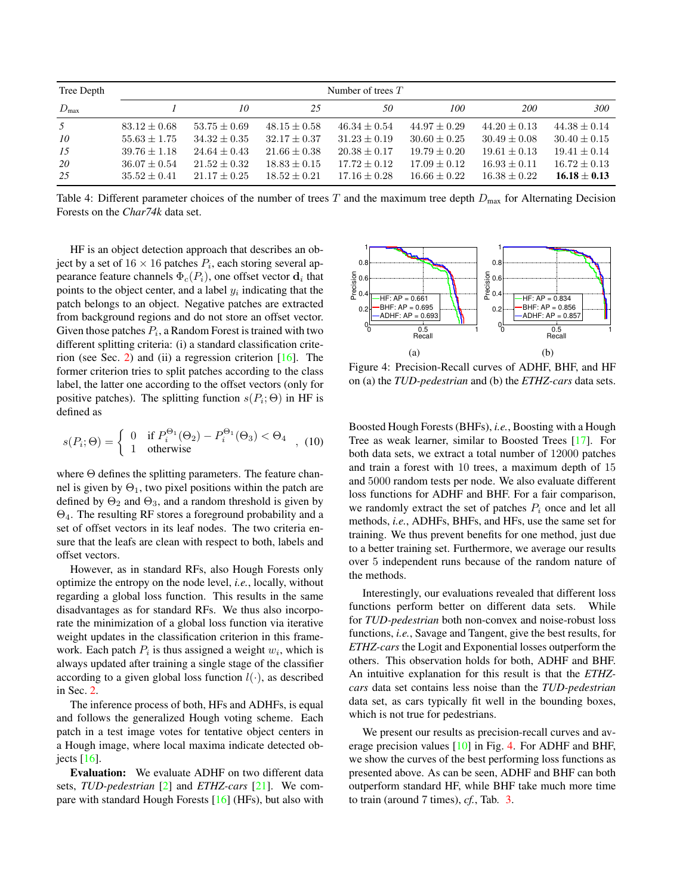<span id="page-6-2"></span><span id="page-6-0"></span>

| Tree Depth       | Number of trees $T$ |                  |                  |                  |                  |                  |                  |
|------------------|---------------------|------------------|------------------|------------------|------------------|------------------|------------------|
| $D_{\text{max}}$ |                     | 10               | 25               | 50               | 100              | <i>200</i>       | 300              |
| $\overline{5}$   | $83.12 \pm 0.68$    | $53.75 \pm 0.69$ | $48.15 \pm 0.58$ | $46.34 \pm 0.54$ | $44.97 \pm 0.29$ | $44.20 \pm 0.13$ | $44.38 \pm 0.14$ |
| 10               | $55.63 \pm 1.75$    | $34.32 \pm 0.35$ | $32.17 \pm 0.37$ | $31.23 \pm 0.19$ | $30.60 \pm 0.25$ | $30.49 \pm 0.08$ | $30.40 \pm 0.15$ |
| 15               | $39.76 \pm 1.18$    | $24.64 + 0.43$   | $21.66 \pm 0.38$ | $20.38 \pm 0.17$ | $19.79 \pm 0.20$ | $19.61 \pm 0.13$ | $19.41 \pm 0.14$ |
| 20               | $36.07 \pm 0.54$    | $21.52 + 0.32$   | $18.83 \pm 0.15$ | $17.72 + 0.12$   | $17.09 + 0.12$   | $16.93 + 0.11$   | $16.72 + 0.13$   |
| 25               | $35.52 \pm 0.41$    | $21.17 + 0.25$   | $18.52 + 0.21$   | $17.16 + 0.28$   | $16.66 + 0.22$   | $16.38 + 0.22$   | $16.18 + 0.13$   |

Table 4: Different parameter choices of the number of trees T and the maximum tree depth  $D_{\text{max}}$  for Alternating Decision Forests on the *Char74k* data set.

HF is an object detection approach that describes an object by a set of  $16 \times 16$  patches  $P_i$ , each storing several appearance feature channels  $\Phi_c(P_i)$ , one offset vector  $\mathbf{d}_i$  that points to the object center, and a label  $y_i$  indicating that the patch belongs to an object. Negative patches are extracted from background regions and do not store an offset vector. Given those patches  $P_i$ , a Random Forest is trained with two different splitting criteria: (i) a standard classification criterion (see Sec. [2\)](#page-1-2) and (ii) a regression criterion [\[16\]](#page-7-2). The former criterion tries to split patches according to the class label, the latter one according to the offset vectors (only for positive patches). The splitting function  $s(P_i; \Theta)$  in HF is defined as

$$
s(P_i; \Theta) = \begin{cases} 0 & \text{if } P_i^{\Theta_1}(\Theta_2) - P_i^{\Theta_1}(\Theta_3) < \Theta_4 \\ 1 & \text{otherwise} \end{cases}, (10)
$$

where  $\Theta$  defines the splitting parameters. The feature channel is given by  $\Theta_1$ , two pixel positions within the patch are defined by  $\Theta_2$  and  $\Theta_3$ , and a random threshold is given by Θ4. The resulting RF stores a foreground probability and a set of offset vectors in its leaf nodes. The two criteria ensure that the leafs are clean with respect to both, labels and offset vectors.

However, as in standard RFs, also Hough Forests only optimize the entropy on the node level, *i.e.*, locally, without regarding a global loss function. This results in the same disadvantages as for standard RFs. We thus also incorporate the minimization of a global loss function via iterative weight updates in the classification criterion in this framework. Each patch  $P_i$  is thus assigned a weight  $w_i$ , which is always updated after training a single stage of the classifier according to a given global loss function  $l(\cdot)$ , as described in Sec. [2.](#page-1-2)

The inference process of both, HFs and ADHFs, is equal and follows the generalized Hough voting scheme. Each patch in a test image votes for tentative object centers in a Hough image, where local maxima indicate detected objects [\[16\]](#page-7-2).

Evaluation: We evaluate ADHF on two different data sets, *TUD-pedestrian* [\[2\]](#page-7-28) and *ETHZ-cars* [\[21\]](#page-7-29). We compare with standard Hough Forests [\[16\]](#page-7-2) (HFs), but also with

<span id="page-6-1"></span>

Figure 4: Precision-Recall curves of ADHF, BHF, and HF on (a) the *TUD-pedestrian* and (b) the *ETHZ-cars* data sets.

Boosted Hough Forests (BHFs), *i.e.*, Boosting with a Hough Tree as weak learner, similar to Boosted Trees [\[17\]](#page-7-16). For both data sets, we extract a total number of 12000 patches and train a forest with 10 trees, a maximum depth of 15 and 5000 random tests per node. We also evaluate different loss functions for ADHF and BHF. For a fair comparison, we randomly extract the set of patches  $P_i$  once and let all methods, *i.e.*, ADHFs, BHFs, and HFs, use the same set for training. We thus prevent benefits for one method, just due to a better training set. Furthermore, we average our results over 5 independent runs because of the random nature of the methods.

Interestingly, our evaluations revealed that different loss functions perform better on different data sets. While for *TUD-pedestrian* both non-convex and noise-robust loss functions, *i.e.*, Savage and Tangent, give the best results, for *ETHZ-cars* the Logit and Exponential losses outperform the others. This observation holds for both, ADHF and BHF. An intuitive explanation for this result is that the *ETHZcars* data set contains less noise than the *TUD-pedestrian* data set, as cars typically fit well in the bounding boxes, which is not true for pedestrians.

We present our results as precision-recall curves and average precision values [\[10\]](#page-7-30) in Fig. [4.](#page-6-1) For ADHF and BHF, we show the curves of the best performing loss functions as presented above. As can be seen, ADHF and BHF can both outperform standard HF, while BHF take much more time to train (around 7 times), *cf.*, Tab. [3.](#page-5-1)